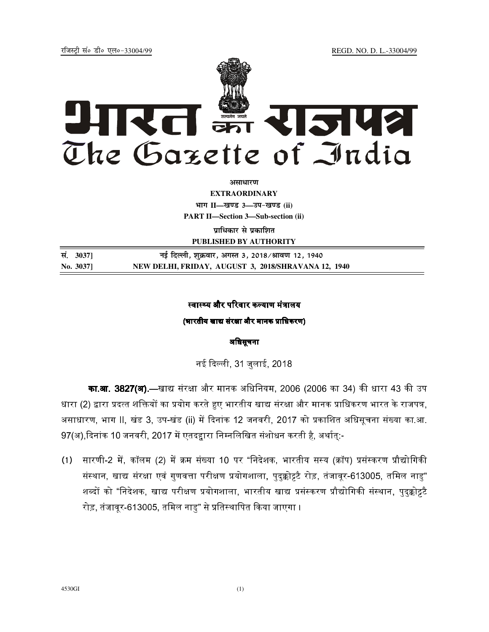jftLVªh laö Mhö ,yö&33004@99 REGD. NO. D. L.-33004/99



**vlk/kj.k**

**EXTRAORDINARY Hkkx II—[k.M 3—mi&[k.M (ii) PART II—Section 3—Sub-section (ii)** 

**प्राधिकार से प्रकाशित** 

**PUBLISHED BY AUTHORITY**

**la- 3037] ubZ fnYyh] 'kqØokj] vxLr 3] 2018@Jko.k 12] 1940 No. 3037] NEW DELHI, FRIDAY, AUGUST 3, 2018/SHRAVANA 12, 1940**

## स्वास्थ्य और परिवार कल्याण मंत्रालय

(भारतीय खाद्य संरक्षा और मानक प्राधिकरण)

# अधिसूचना

नई दिल्ली. 31 जलाई. 2018.

**का.आ. 3827(अ)**,—खाद्य संरक्षा और मानक अधिनियम, 2006 (2006 का 34) की धारा 43 की उप धारा (2) द्वारा प्रदत्त शक्तियों का प्रयोग करते हुए भारतीय खाद्य संरक्षा और मानक प्राधिकरण भारत के राजपत्र. असाधारण, भाग II, खंड 3, उप-खंड (ii) में दिनांक 12 जनवरी, 2017 को प्रकाशित अधिसचना संख्या का.आ. 97(अ) दिनांक 10 जनवरी. 2017 में एतदहारा निम्नलिखित संशोधन करती है. अर्थात:-

(1) सारणी-2 में, कॉलम (2) में क्रम संख्या 10 पर "निदेशक, भारतीय सस्य (क्रॉप) प्रसंस्करण प्रौद्योगिकी संस्थान, खाद्य संरक्षा एवं गणवत्ता परीक्षण प्रयोगशाला, पदक्कोद्र्टै रोड़, तंजावर-613005, तमिल नाड" शब्दों को "निदेशक, खाद्य परीक्षण प्रयोगशाला, भारतीय खाद्य प्रसंस्करण प्रौद्योगिकी संस्थान, पदक्कोट्टटै रोड़, तंजावर-613005, तमिल नाड" से प्रतिस्थापित किया जाएगा ।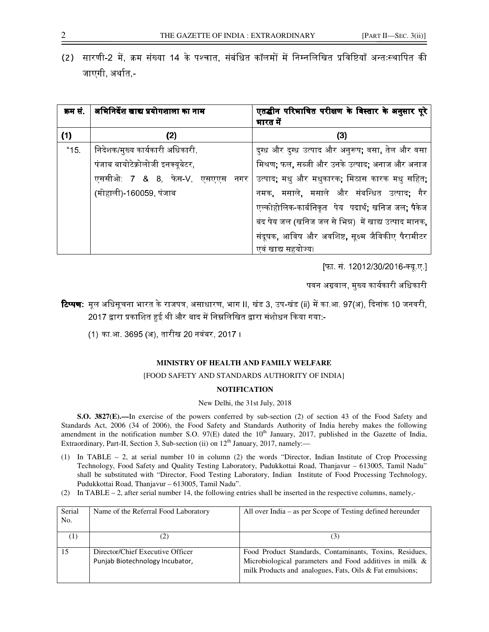(2) सारणी-2 में, क्रम संख्या 14 के पश्चात, संबंधित कॉलमों में निम्नलिखित प्रविष्टियाँ अन्तःस्थापित की जाएगी, अर्थात,-

| क्रम सं | अभिनिर्देश खाद्य प्रयोगशाला का नाम | एतद्धीन परिभाषित परीक्षण के विस्तार के अनुसार पूरे<br>भारत में |
|---------|------------------------------------|----------------------------------------------------------------|
| (1)     | (2)                                | (3)                                                            |
| "15"    | निदेशक/मुख्य कार्यकारी अधिकारी,    | दुग्ध और दुग्ध उत्पाद और अनुरूप; वसा, तेल और वसा               |
|         | पंजाब बायोटेक्नोलोजी इनक्यूबेटर,   | मिश्रण; फल, सब्जी और उनके उत्पाद; अनाज और अनाज                 |
|         | एससीओ: 7 & 8, फेस-V, एसएएस<br>नगर  | उत्पाद; मधु और मधुकारक; मिठास कारक मधु सहित;                   |
|         | (मोहाली)-160059, पंजाब             | नमक, मसाले, मसाले और संबन्धित उत्पाद; गैर                      |
|         |                                    | एल्कोहोलिक-कार्बनिकृत पेय पदार्थ; खनिज जल; पैकेज               |
|         |                                    | बंद पेय जल (खनिज जल से भिन्न) में खाद्य उत्पाद मानक,           |
|         |                                    | संदूषक, आविष और अवशिष्ट, सूक्ष्म जैविकीए पैरामीटर              |
|         |                                    | एवं खाद्य सहयोज्य।                                             |

[फा. सं. 12012/30/2016-क्य.ए.]

पवन अग्रवाल, मख्य कार्यकारी अधिकारी

- **टिप्पण**: मल अधिसचना भारत के राजपत्र, असाधारण, भाग II, खंड 3, उप-खंड (ii) में का आ, 97(अ), दिनांक 10 जनवरी, 2017 द्वारा प्रकाशित हुई थी और बाद में निम्नलिखित द्वारा संशोधन किया गया:-
	- (1) का.आ. 3695 (अ), तारीख 20 नवंबर, 2017 ।

### **MINISTRY OF HEALTH AND FAMILY WELFARE**

#### [FOOD SAFETY AND STANDARDS AUTHORITY OF INDIA]

### **NOTIFICATION**

#### New Delhi, the 31st July, 2018

**S.O. 3827(E).—**In exercise of the powers conferred by sub-section (2) of section 43 of the Food Safety and Standards Act, 2006 (34 of 2006), the Food Safety and Standards Authority of India hereby makes the following amendment in the notification number S.O. 97(E) dated the 10<sup>th</sup> January, 2017, published in the Gazette of India, Extraordinary, Part-II, Section 3, Sub-section (ii) on  $12<sup>th</sup>$  January, 2017, namely:

- (1) In TABLE 2, at serial number 10 in column (2) the words "Director, Indian Institute of Crop Processing Technology, Food Safety and Quality Testing Laboratory, Pudukkottai Road, Thanjavur – 613005, Tamil Nadu" shall be substituted with "Director, Food Testing Laboratory, Indian Institute of Food Processing Technology, Pudukkottai Road, Thanjavur – 613005, Tamil Nadu".
- (2) In TABLE 2, after serial number 14, the following entries shall be inserted in the respective columns, namely,-

| Serial   | Name of the Referral Food Laboratory | All over India – as per Scope of Testing defined hereunder |
|----------|--------------------------------------|------------------------------------------------------------|
| No.      |                                      |                                                            |
|          |                                      |                                                            |
| $^{(1)}$ |                                      | (3)                                                        |
|          |                                      |                                                            |
| 15       | Director/Chief Executive Officer     | Food Product Standards, Contaminants, Toxins, Residues,    |
|          | Punjab Biotechnology Incubator,      | Microbiological parameters and Food additives in milk &    |
|          |                                      | milk Products and analogues, Fats, Oils & Fat emulsions;   |
|          |                                      |                                                            |